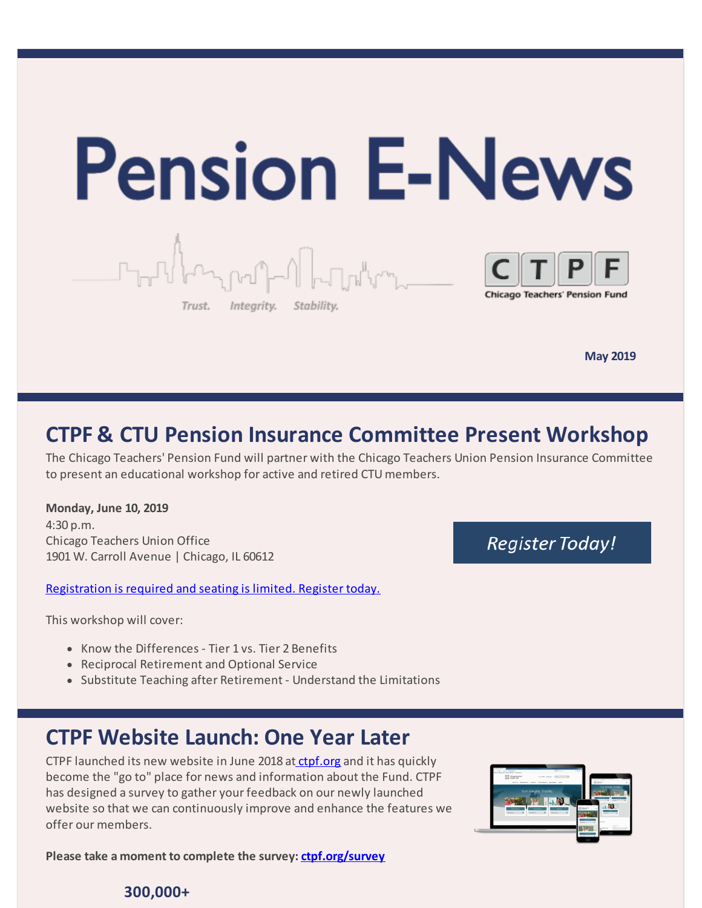

**May 2019**

## **CTPF & CTU Pension Insurance Committee Present Workshop**

The Chicago Teachers' Pension Fund will partner with the Chicago Teachers Union Pension Insurance Committee to present an educational workshop for active and retired CTU members.

**Monday, June 10, 2019** 4:30 p.m. Chicago Teachers Union Office 1901 W. Carroll Avenue | Chicago, IL 60612

[Registration](https://www.ctpf.org/ctuworkshop2019) is required and seating is limited. Register today.

This workshop will cover:

- Know the Differences Tier 1 vs. Tier 2 Benefits
- Reciprocal Retirement and Optional Service
- Substitute Teaching after Retirement Understand the Limitations

## **CTPF Website Launch: One Year Later**

CTPF launched its new website in June 2018 at [ctpf.org](http://www.ctpf.org) and it has quickly become the "go to" place for news and information about the Fund. CTPF has designed a survey to gather your feedback on our newly launched website so that we can continuously improve and enhance the features we offer our members.

**Please take a moment to complete the survey: [ctpf.org/survey](http://ctpf.org/survey)**

## **Register Today!**



### **300,000+**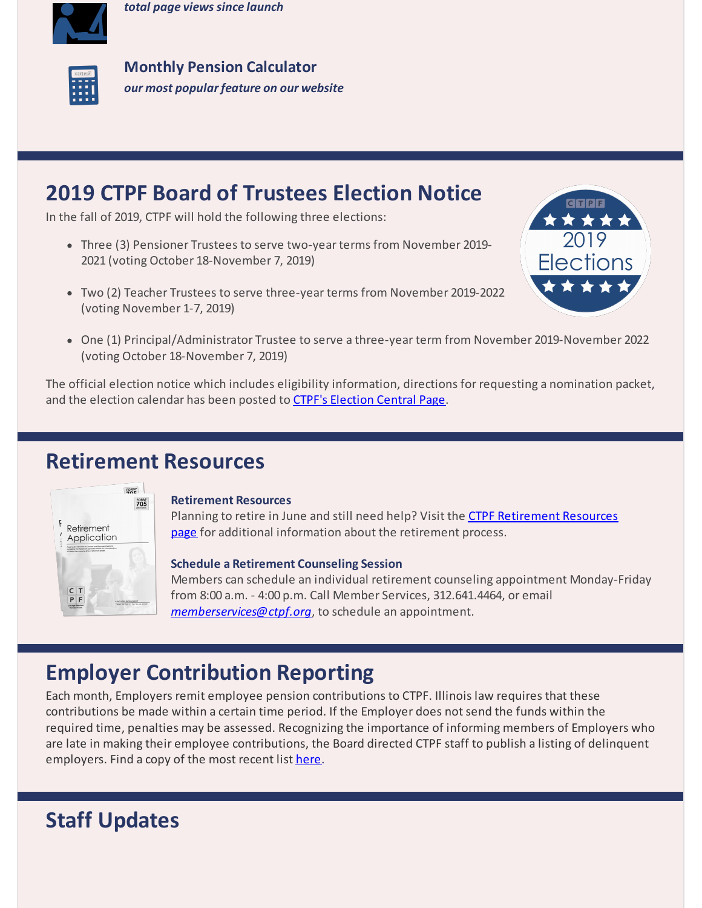*total page views since launch*



**Monthly Pension Calculator** *our most popular feature on our website*

## **2019 CTPF Board of Trustees Election Notice**

In the fall of 2019, CTPF will hold the following three elections:

- Three (3) Pensioner Trustees to serve two-year terms from November 2019- 2021 (voting October 18-November 7, 2019)
- Two (2) Teacher Trustees to serve three-year terms from November 2019-2022 (voting November 1-7, 2019)



One (1) Principal/Administrator Trustee to serve a three-year term from November 2019-November 2022 (voting October 18-November 7, 2019)

The official election notice which includes eligibility information, directions for requesting a nomination packet, and the election calendar has been posted to CTPF's [Election](https://www.ctpf.org/2019-election-central) Central Page.

## **Retirement Resources**



### **Retirement Resources**

Planning to retire in June and still need help? Visit the CTPF [Retirement](https://www.ctpf.org/retirement-resources) Resources page for additional information about the retirement process.

### **Schedule a Retirement Counseling Session**

Members can schedule an individual retirement counseling appointment Monday-Friday from 8:00 a.m. - 4:00 p.m. Call Member Services, 312.641.4464, or email *[memberservices@ctpf.org](mailto:memberservices@ctpf.org)*, to schedule an appointment.

# **Employer Contribution Reporting**

Each month, Employers remit employee pension contributions to CTPF. Illinois law requires that these contributions be made within a certain time period. If the Employer does not send the funds within the required time, penalties may be assessed. Recognizing the importance of informing members of Employers who are late in making their employee contributions, the Board directed CTPF staff to publish a listing of delinquent employers. Find a copy of the most recent list [here](https://www.ctpf.org/employer-contribution-reporting).

# **Staff Updates**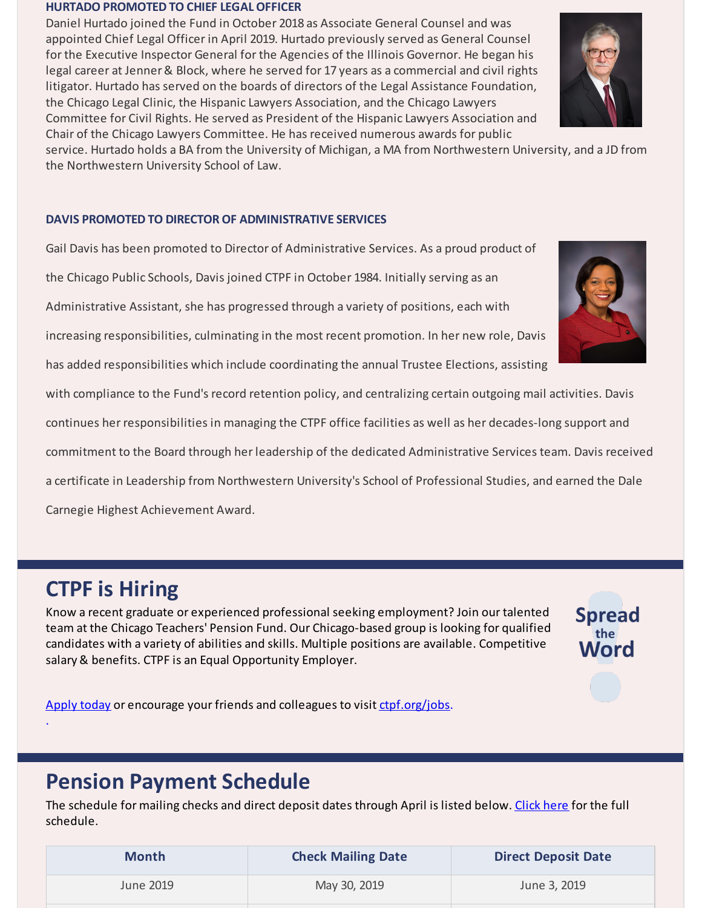#### **HURTADO PROMOTED TO CHIEF LEGAL OFFICER**

Daniel Hurtado joined the Fund in October 2018 as Associate General Counsel and was appointed Chief Legal Officer in April 2019. Hurtado previously served as General Counsel for the Executive Inspector General for the Agencies of the Illinois Governor. He began his legal career at Jenner & Block, where he served for 17 years as a commercial and civil rights litigator. Hurtado has served on the boards of directors of the Legal Assistance Foundation, the Chicago Legal Clinic, the Hispanic Lawyers Association, and the Chicago Lawyers Committee for Civil Rights. He served as President of the Hispanic Lawyers Association and Chair of the Chicago Lawyers Committee. He has received numerous awards for public

service. Hurtado holds a BA from the University of Michigan, a MA from Northwestern University, and a JD from the Northwestern University School of Law.

### **DAVIS PROMOTED TO DIRECTOR OF ADMINISTRATIVE SERVICES**

Gail Davis has been promoted to Director of Administrative Services. As a proud product of the Chicago Public Schools, Davis joined CTPF in October 1984. Initially serving as an Administrative Assistant, she has progressed through a variety of positions, each with increasing responsibilities, culminating in the most recent promotion. In her new role, Davis has added responsibilities which include coordinating the annual Trustee Elections, assisting with compliance to the Fund's record retention policy, and centralizing certain outgoing mail activities. Davis continues her responsibilities in managing the CTPF office facilities as well as her decades-long support and commitment to the Board through her leadership of the dedicated Administrative Services team. Davis received a certificate in Leadership from Northwestern University's School of Professional Studies, and earned the Dale Carnegie Highest Achievement Award.

# **CTPF is Hiring**

.

Know a recent graduate or experienced professional seeking employment? Join our talented team at the Chicago Teachers' Pension Fund. Our Chicago-based group is looking for qualified candidates with a variety of abilities and skills. Multiple positions are available. Competitive salary & benefits. CTPF is an Equal Opportunity Employer.



[Apply](https://bit.ly/2IpJhUF) today or encourage your friends and colleagues to visit [ctpf.org/jobs](http://www.ctpf.org/jobs).

## **Pension Payment Schedule**

The schedule for mailing checks and direct deposit dates through April is listed below. [Click](https://www.ctpf.org/pension-payments) here for the full schedule.

| <b>Month</b> | <b>Check Mailing Date</b> | <b>Direct Deposit Date</b> |
|--------------|---------------------------|----------------------------|
| June 2019    | May 30, 2019              | June 3, 2019               |



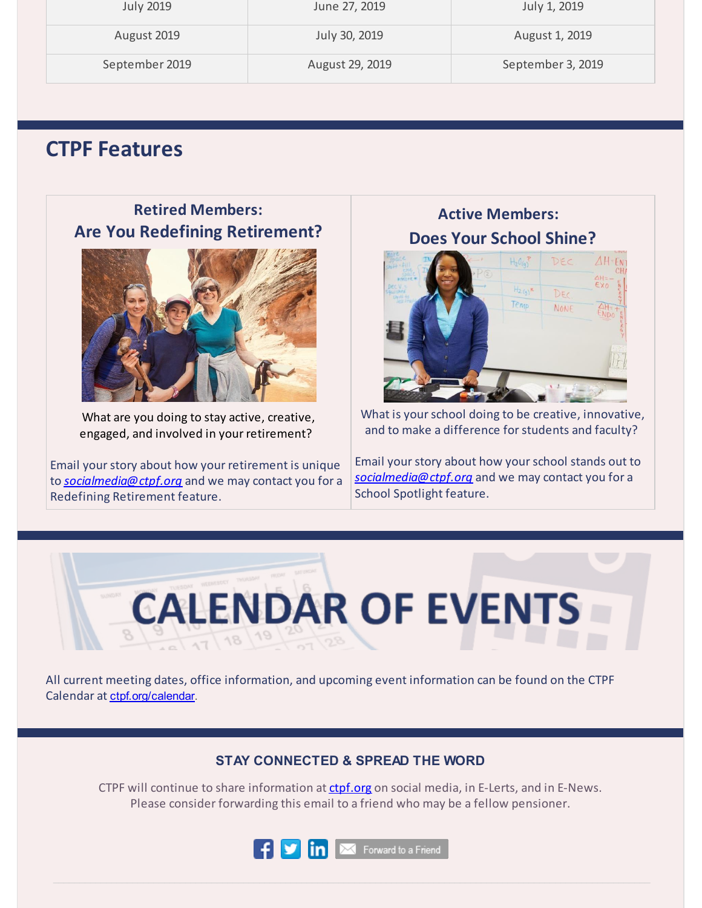| <b>July 2019</b> | June 27, 2019   | July 1, 2019      |
|------------------|-----------------|-------------------|
| August 2019      | July 30, 2019   | August 1, 2019    |
| September 2019   | August 29, 2019 | September 3, 2019 |

## **CTPF Features**

**Retired Members: Are You Redefining Retirement?**



What are you doing to stay active, creative, engaged, and involved in your retirement?

Email your story about how your retirement is unique to *[socialmedia@ctpf.org](mailto:socialmedia@ctpf.org)* and we may contact you for a Redefining Retirement feature.

**Active Members: Does Your School Shine?**



What is your school doing to be creative, innovative, and to make a difference forstudents and faculty?

Email yourstory about how yourschool stands out to *[socialmedia@ctpf.org](mailto:socialmedia@ctpf.org)* and we may contact you for a School Spotlight feature.



All current meeting dates, office information, and upcoming event information can be found on the CTPF Calendar at [ctpf.org/calendar](http://www.ctpf.org/calendar).

### **STAY CONNECTED & SPREAD THE WORD**

CTPF will continue to share information at [ctpf.org](http://www.ctpf.org) on social media, in E-Lerts, and in E-News. Please consider forwarding this email to a friend who may be a fellow pensioner.